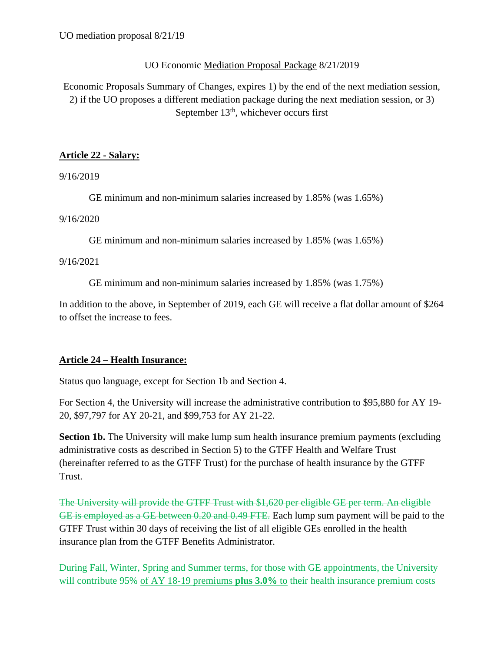### UO Economic Mediation Proposal Package 8/21/2019

Economic Proposals Summary of Changes, expires 1) by the end of the next mediation session, 2) if the UO proposes a different mediation package during the next mediation session, or 3) September  $13<sup>th</sup>$ , whichever occurs first

### **Article 22 - Salary:**

9/16/2019

GE minimum and non-minimum salaries increased by 1.85% (was 1.65%)

9/16/2020

GE minimum and non-minimum salaries increased by 1.85% (was 1.65%)

9/16/2021

GE minimum and non-minimum salaries increased by 1.85% (was 1.75%)

In addition to the above, in September of 2019, each GE will receive a flat dollar amount of \$264 to offset the increase to fees.

## **Article 24 – Health Insurance:**

Status quo language, except for Section 1b and Section 4.

For Section 4, the University will increase the administrative contribution to \$95,880 for AY 19- 20, \$97,797 for AY 20-21, and \$99,753 for AY 21-22.

**Section 1b.** The University will make lump sum health insurance premium payments (excluding administrative costs as described in Section 5) to the GTFF Health and Welfare Trust (hereinafter referred to as the GTFF Trust) for the purchase of health insurance by the GTFF Trust.

The University will provide the GTFF Trust with \$1,620 per eligible GE per term. An eligible GE is employed as a GE between 0.20 and 0.49 FTE. Each lump sum payment will be paid to the GTFF Trust within 30 days of receiving the list of all eligible GEs enrolled in the health insurance plan from the GTFF Benefits Administrator.

During Fall, Winter, Spring and Summer terms, for those with GE appointments, the University will contribute 95% of AY 18-19 premiums **plus 3.0%** to their health insurance premium costs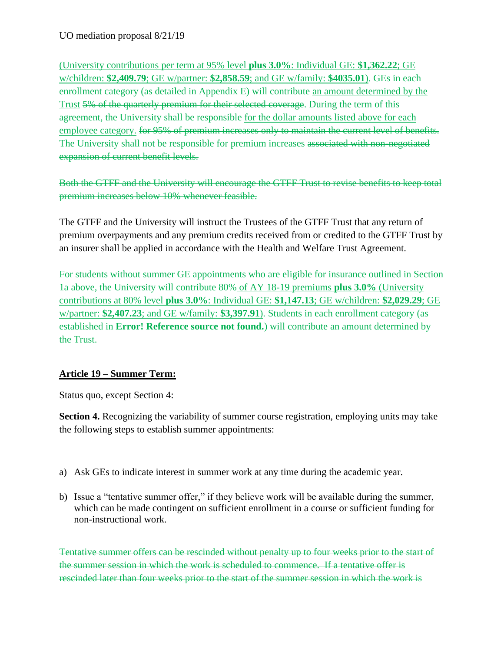(University contributions per term at 95% level **plus 3.0%**: Individual GE: **\$1,362.22**; GE w/children: **\$2,409.79**; GE w/partner: **\$2,858.59**; and GE w/family: **\$4035.01**). GEs in each enrollment category (as detailed in Appendix E) will contribute an amount determined by the Trust 5% of the quarterly premium for their selected coverage. During the term of this agreement, the University shall be responsible for the dollar amounts listed above for each employee category. for 95% of premium increases only to maintain the current level of benefits. The University shall not be responsible for premium increases associated with non-negotiated expansion of current benefit levels.

Both the GTFF and the University will encourage the GTFF Trust to revise benefits to keep total premium increases below 10% whenever feasible.

The GTFF and the University will instruct the Trustees of the GTFF Trust that any return of premium overpayments and any premium credits received from or credited to the GTFF Trust by an insurer shall be applied in accordance with the Health and Welfare Trust Agreement.

For students without summer GE appointments who are eligible for insurance outlined in Section 1a above, the University will contribute 80% of AY 18-19 premiums **plus 3.0%** (University contributions at 80% level **plus 3.0%**: Individual GE: **\$1,147.13**; GE w/children: **\$2,029.29**; GE w/partner: **\$2,407.23**; and GE w/family: **\$3,397.91**). Students in each enrollment category (as established in **Error! Reference source not found.**) will contribute an amount determined by the Trust.

## **Article 19 – Summer Term:**

Status quo, except Section 4:

**Section 4.** Recognizing the variability of summer course registration, employing units may take the following steps to establish summer appointments:

- a) Ask GEs to indicate interest in summer work at any time during the academic year.
- b) Issue a "tentative summer offer," if they believe work will be available during the summer, which can be made contingent on sufficient enrollment in a course or sufficient funding for non-instructional work.

Tentative summer offers can be rescinded without penalty up to four weeks prior to the start of the summer session in which the work is scheduled to commence. If a tentative offer is rescinded later than four weeks prior to the start of the summer session in which the work is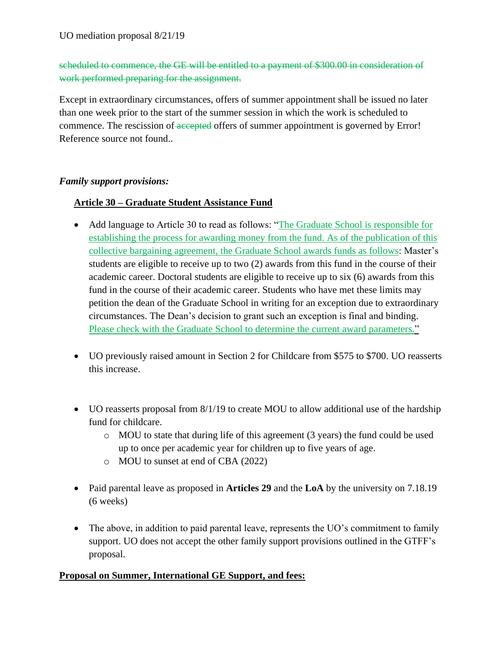# scheduled to commence, the GE will be entitled to a payment of \$300.00 in consideration of work performed preparing for the assignment.

Except in extraordinary circumstances, offers of summer appointment shall be issued no later than one week prior to the start of the summer session in which the work is scheduled to commence. The rescission of accepted offers of summer appointment is governed by Error! Reference source not found..

#### *Family support provisions:*

### **Article 30 – Graduate Student Assistance Fund**

- Add language to Article 30 to read as follows: "The Graduate School is responsible for establishing the process for awarding money from the fund. As of the publication of this collective bargaining agreement, the Graduate School awards funds as follows: Master's students are eligible to receive up to two (2) awards from this fund in the course of their academic career. Doctoral students are eligible to receive up to six (6) awards from this fund in the course of their academic career. Students who have met these limits may petition the dean of the Graduate School in writing for an exception due to extraordinary circumstances. The Dean's decision to grant such an exception is final and binding. Please check with the Graduate School to determine the current award parameters."
- UO previously raised amount in Section 2 for Childcare from \$575 to \$700. UO reasserts this increase.
- UO reasserts proposal from 8/1/19 to create MOU to allow additional use of the hardship fund for childcare.
	- $\circ$  MOU to state that during life of this agreement (3 years) the fund could be used up to once per academic year for children up to five years of age.
	- o MOU to sunset at end of CBA (2022)
- Paid parental leave as proposed in **Articles 29** and the **LoA** by the university on 7.18.19 (6 weeks)
- The above, in addition to paid parental leave, represents the UO's commitment to family support. UO does not accept the other family support provisions outlined in the GTFF's proposal.

#### **Proposal on Summer, International GE Support, and fees:**